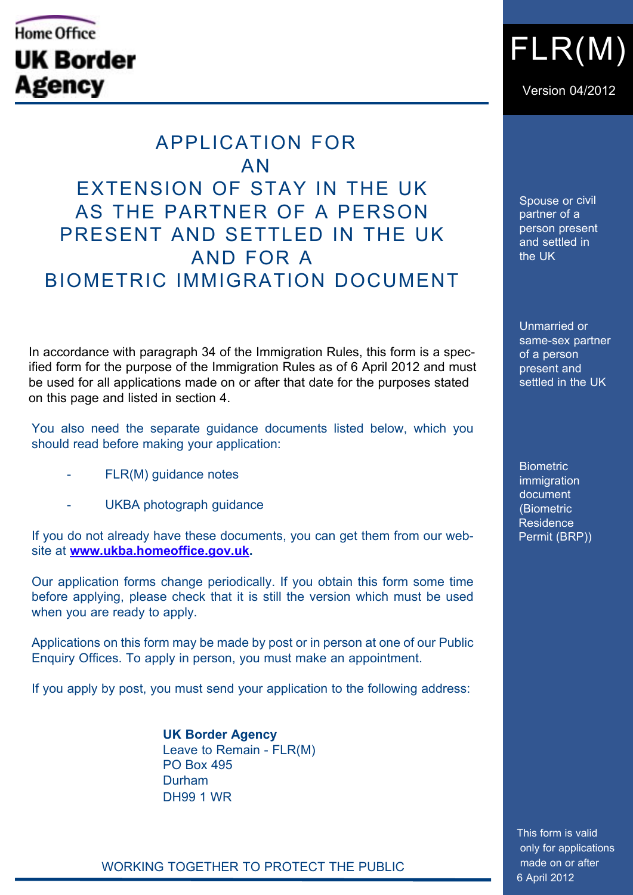## Home Office **UK Border Agency**

 APPLICATION FOR AN EXTENSION OF STAY IN THE UK AS THE PARTNER OF A PERSON PRESENT AND SETTLED IN THE UK AND FOR A BIOMETRIC IMMIGRATION DOCUMENT

In accordance with paragraph 34 of the Immigration Rules, this form is a specified form for the purpose of the Immigration Rules as of 6 April 2012 and must be used for all applications made on or after that date for the purposes stated on this page and listed in section 4.

You also need the separate guidance documents listed below, which you should read before making your application:

- FLR(M) quidance notes
- UKBA photograph guidance

If you do not already have these documents, you can get them from our website at **[www.ukba.homeoffice.gov.uk.](www.ukba.homeoffice.gov.uk)** 

Our application forms change periodically. If you obtain this form some time before applying, please check that it is still the version which must be used when you are ready to apply.

Applications on this form may be made by post or in person at one of our Public Enquiry Offices. To apply in person, you must make an appointment.

If you apply by post, you must send your application to the following address:

 **UK Border Agency** Leave to Remain - FLR(M) PO Box 495 **Durham** DH99 1 WR

FLR(M)

Version 04/2012

Spouse or civil partner of a person present and settled in the UK

Unmarried or same-sex partner of a person present and settled in the UK

**Biometric** immigration document (Biometric Residence Permit (BRP))

 This form is valid only for applications made on or after 6 April 2012

WORKING TOGETHER TO PROTECT THE PUBLIC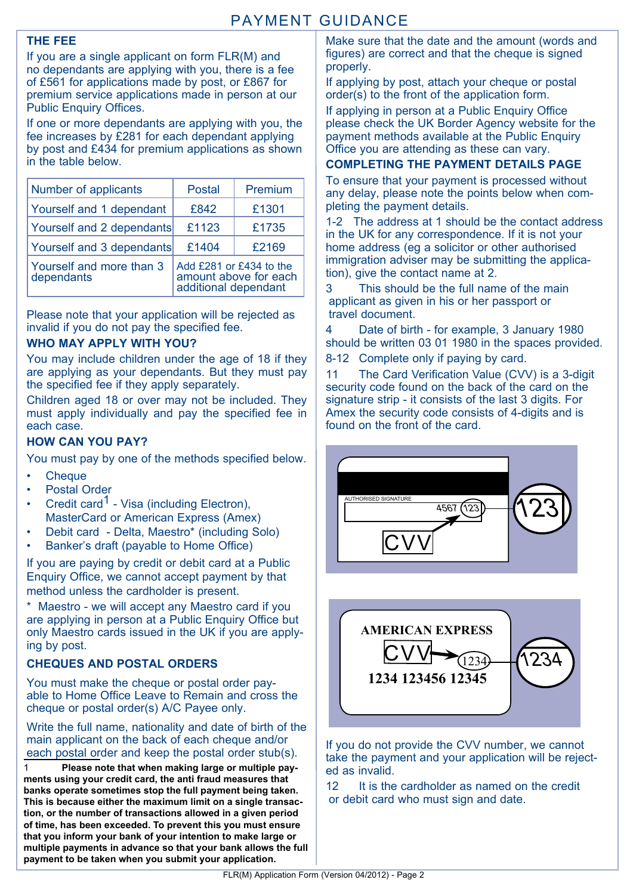#### **The fee**

If you are a single applicant on form FLR(M) and no dependants are applying with you, there is a fee of £561 for applications made by post, or £867 for premium service applications made in person at our Public Enquiry Offices.

If one or more dependants are applying with you, the fee increases by £281 for each dependant applying by post and £434 for premium applications as shown in the table below.

| Number of applicants                   | <b>Postal</b>                                                            | Premium |  |  |
|----------------------------------------|--------------------------------------------------------------------------|---------|--|--|
| Yourself and 1 dependant               | £842                                                                     | £1301   |  |  |
| Yourself and 2 dependants              | £1123                                                                    | £1735   |  |  |
| Yourself and 3 dependants              | £1404                                                                    | £2169   |  |  |
| Yourself and more than 3<br>dependants | Add £281 or £434 to the<br>amount above for each<br>additional dependant |         |  |  |

Please note that your application will be rejected as invalid if you do not pay the specified fee.

#### **WHO MAY APPLY WITH YOU?**

You may include children under the age of 18 if they are applying as your dependants. But they must pay the specified fee if they apply separately.

Children aged 18 or over may not be included. They must apply individually and pay the specified fee in each case.

#### **How can you pay?**

You must pay by one of the methods specified below.

- • Cheque
- **Postal Order**
- Credit card<sup>1</sup> Visa (including Electron). MasterCard or American Express (Amex)
- Debit card Delta, Maestro\* (including Solo)
- Banker's draft (payable to Home Office)

If you are paying by credit or debit card at a Public Enquiry Office, we cannot accept payment by that method unless the cardholder is present.

\* Maestro - we will accept any Maestro card if you are applying in person at a Public Enquiry Office but only Maestro cards issued in the UK if you are applying by post.

#### **Cheques and postal orders**

You must make the cheque or postal order payable to Home Office Leave to Remain and cross the cheque or postal order(s) A/C Payee only.

Write the full name, nationality and date of birth of the main applicant on the back of each cheque and/or each postal order and keep the postal order stub(s).

1 **Please note that when making large or multiple payments using your credit card, the anti fraud measures that banks operate sometimes stop the full payment being taken. This is because either the maximum limit on a single transaction, or the number of transactions allowed in a given period of time, has been exceeded. To prevent this you must ensure that you inform your bank of your intention to make large or multiple payments in advance so that your bank allows the full payment to be taken when you submit your application.**

Make sure that the date and the amount (words and figures) are correct and that the cheque is signed properly.

If applying by post, attach your cheque or postal order(s) to the front of the application form.

If applying in person at a Public Enquiry Office please check the UK Border Agency website for the payment methods available at the Public Enquiry Office you are attending as these can vary.

#### **Completing the payment details page**

To ensure that your payment is processed without any delay, please note the points below when completing the payment details.

1-2 The address at 1 should be the contact address in the UK for any correspondence. If it is not your home address (eg a solicitor or other authorised immigration adviser may be submitting the application), give the contact name at 2.

3 This should be the full name of the main applicant as given in his or her passport or travel document.

4 Date of birth - for example, 3 January 1980 should be written 03 01 1980 in the spaces provided.

8-12 Complete only if paying by card.

11 The Card Verification Value (CVV) is a 3-digit security code found on the back of the card on the signature strip - it consists of the last 3 digits. For Amex the security code consists of 4-digits and is found on the front of the card.





If you do not provide the CVV number, we cannot take the payment and your application will be rejected as invalid.

12 It is the cardholder as named on the credit or debit card who must sign and date.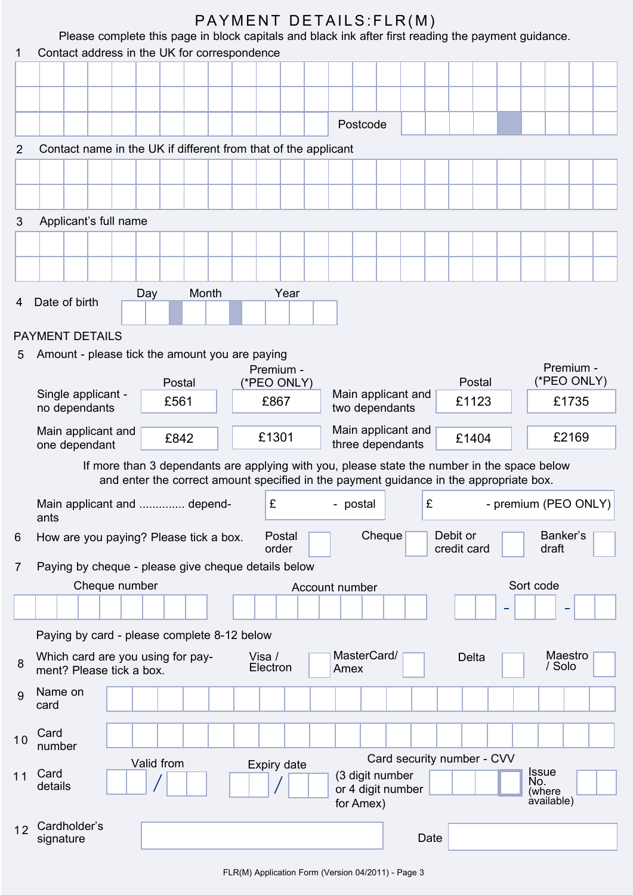|                |                                                                |              |                    | PAYMENT DETAILS: FLR(M)                                                                             |                            |                               |
|----------------|----------------------------------------------------------------|--------------|--------------------|-----------------------------------------------------------------------------------------------------|----------------------------|-------------------------------|
|                | Contact address in the UK for correspondence                   |              |                    | Please complete this page in block capitals and black ink after first reading the payment guidance. |                            |                               |
| 1              |                                                                |              |                    |                                                                                                     |                            |                               |
|                |                                                                |              |                    |                                                                                                     |                            |                               |
|                |                                                                |              |                    |                                                                                                     |                            |                               |
|                |                                                                |              |                    | Postcode                                                                                            |                            |                               |
| 2              | Contact name in the UK if different from that of the applicant |              |                    |                                                                                                     |                            |                               |
|                |                                                                |              |                    |                                                                                                     |                            |                               |
|                |                                                                |              |                    |                                                                                                     |                            |                               |
|                |                                                                |              |                    |                                                                                                     |                            |                               |
| 3              | Applicant's full name                                          |              |                    |                                                                                                     |                            |                               |
|                |                                                                |              |                    |                                                                                                     |                            |                               |
|                |                                                                |              |                    |                                                                                                     |                            |                               |
|                |                                                                | Month<br>Day | Year               |                                                                                                     |                            |                               |
| 4              | Date of birth                                                  |              |                    |                                                                                                     |                            |                               |
|                | <b>PAYMENT DETAILS</b>                                         |              |                    |                                                                                                     |                            |                               |
| 5              | Amount - please tick the amount you are paying                 |              |                    |                                                                                                     |                            |                               |
|                |                                                                |              | Premium -          |                                                                                                     |                            | Premium -                     |
|                | Single applicant -                                             | Postal       | (*PEO ONLY)        | Main applicant and                                                                                  | Postal                     | (*PEO ONLY)                   |
|                | no dependants                                                  | £561         | £867               | two dependants                                                                                      | £1123                      | £1735                         |
|                | Main applicant and                                             |              | £1301              | Main applicant and                                                                                  |                            | £2169                         |
|                | one dependant                                                  | £842         |                    | three dependants                                                                                    | £1404                      |                               |
|                |                                                                |              |                    | If more than 3 dependants are applying with you, please state the number in the space below         |                            |                               |
|                |                                                                |              |                    | and enter the correct amount specified in the payment guidance in the appropriate box.              |                            |                               |
|                | Main applicant and  depend-<br>ants                            |              | £                  | £<br>- postal                                                                                       |                            | - premium (PEO ONLY)          |
| 6              | How are you paying? Please tick a box.                         |              | Postal<br>order    | Cheque                                                                                              | Debit or<br>credit card    | Banker's<br>draft             |
| $\overline{7}$ | Paying by cheque - please give cheque details below            |              |                    |                                                                                                     |                            |                               |
|                | Cheque number                                                  |              |                    | Account number                                                                                      |                            | Sort code                     |
|                |                                                                |              |                    |                                                                                                     |                            |                               |
|                |                                                                |              |                    |                                                                                                     |                            |                               |
|                | Paying by card - please complete 8-12 below                    |              |                    |                                                                                                     |                            |                               |
| 8              | Which card are you using for pay-<br>ment? Please tick a box.  |              | Visa /<br>Electron | MasterCard/<br>Amex                                                                                 | Delta                      | Maestro<br>/ Solo             |
| 9              | Name on<br>card                                                |              |                    |                                                                                                     |                            |                               |
| 10             | Card<br>number                                                 |              |                    |                                                                                                     |                            |                               |
|                |                                                                | Valid from   | Expiry date        |                                                                                                     | Card security number - CVV |                               |
| 11             | Card<br>details                                                |              |                    | (3 digit number<br>or 4 digit number                                                                |                            | <b>Issue</b><br>No.<br>(where |
|                |                                                                |              |                    | for Amex)                                                                                           |                            | àvailable)                    |
| 12             | Cardholder's                                                   |              |                    |                                                                                                     |                            |                               |
|                | signature                                                      |              |                    | Date                                                                                                |                            |                               |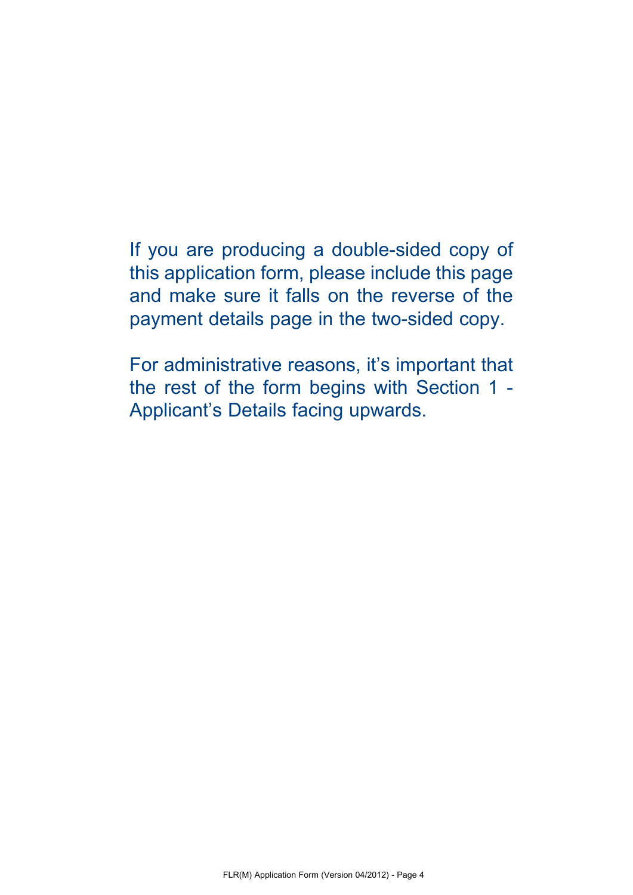# If you are producing a double-sided copy of

this application form, please include this page and make sure it falls on the reverse of the payment details page in the two-sided copy.

For administrative reasons, it's important that the rest of the form begins with Section 1 - Applicant's Details facing upwards.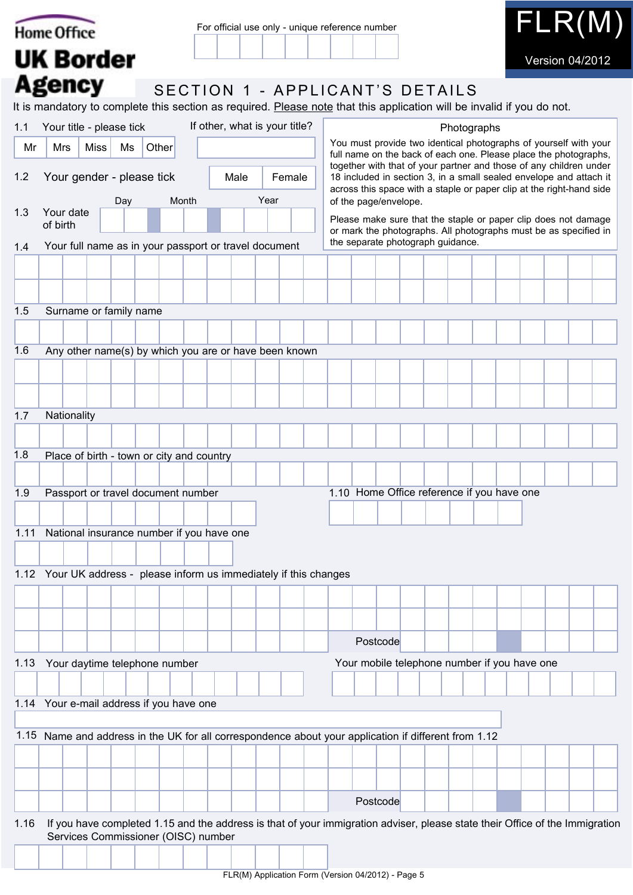|      | <b>Home Office</b>                                                  | For official use only - unique reference number | $\mathsf{FLR}(\mathsf{M})$                                                                                                                                                                                       |
|------|---------------------------------------------------------------------|-------------------------------------------------|------------------------------------------------------------------------------------------------------------------------------------------------------------------------------------------------------------------|
|      | <b>UK Border</b>                                                    |                                                 | <b>Version 04/2012</b>                                                                                                                                                                                           |
|      | <b>Agency</b>                                                       |                                                 | SECTION 1 - APPLICANT'S DETAILS                                                                                                                                                                                  |
|      |                                                                     |                                                 | It is mandatory to complete this section as required. Please note that this application will be invalid if you do not.                                                                                           |
| 1.1  | Your title - please tick                                            | If other, what is your title?                   | Photographs                                                                                                                                                                                                      |
| Mr   | Other<br>Mrs<br><b>Miss</b><br>Ms                                   |                                                 | You must provide two identical photographs of yourself with your<br>full name on the back of each one. Please place the photographs,                                                                             |
| 1.2  | Your gender - please tick                                           | Female<br>Male                                  | together with that of your partner and those of any children under<br>18 included in section 3, in a small sealed envelope and attach it<br>across this space with a staple or paper clip at the right-hand side |
| 1.3  | Day<br>Month<br>Your date                                           | Year                                            | of the page/envelope.                                                                                                                                                                                            |
|      | of birth                                                            |                                                 | Please make sure that the staple or paper clip does not damage<br>or mark the photographs. All photographs must be as specified in                                                                               |
| 1.4  | Your full name as in your passport or travel document               |                                                 | the separate photograph guidance.                                                                                                                                                                                |
|      |                                                                     |                                                 |                                                                                                                                                                                                                  |
|      |                                                                     |                                                 |                                                                                                                                                                                                                  |
| 1.5  | Surname or family name                                              |                                                 |                                                                                                                                                                                                                  |
|      |                                                                     |                                                 |                                                                                                                                                                                                                  |
| 1.6  | Any other name(s) by which you are or have been known               |                                                 |                                                                                                                                                                                                                  |
|      |                                                                     |                                                 |                                                                                                                                                                                                                  |
|      |                                                                     |                                                 |                                                                                                                                                                                                                  |
| 1.7  | Nationality                                                         |                                                 |                                                                                                                                                                                                                  |
|      |                                                                     |                                                 |                                                                                                                                                                                                                  |
| 1.8  | Place of birth - town or city and country                           |                                                 |                                                                                                                                                                                                                  |
|      |                                                                     |                                                 |                                                                                                                                                                                                                  |
| 1.9  | Passport or travel document number                                  |                                                 | 1.10 Home Office reference if you have one                                                                                                                                                                       |
|      |                                                                     |                                                 |                                                                                                                                                                                                                  |
| 1.11 | National insurance number if you have one                           |                                                 |                                                                                                                                                                                                                  |
|      | 1.12 Your UK address - please inform us immediately if this changes |                                                 |                                                                                                                                                                                                                  |
|      |                                                                     |                                                 |                                                                                                                                                                                                                  |
|      |                                                                     |                                                 |                                                                                                                                                                                                                  |
|      |                                                                     |                                                 |                                                                                                                                                                                                                  |
|      |                                                                     |                                                 | Postcode                                                                                                                                                                                                         |
| 1.13 | Your daytime telephone number                                       |                                                 | Your mobile telephone number if you have one                                                                                                                                                                     |
|      |                                                                     |                                                 |                                                                                                                                                                                                                  |
|      | 1.14 Your e-mail address if you have one                            |                                                 |                                                                                                                                                                                                                  |
|      |                                                                     |                                                 | 1.15 Name and address in the UK for all correspondence about your application if different from 1.12                                                                                                             |
|      |                                                                     |                                                 |                                                                                                                                                                                                                  |
|      |                                                                     |                                                 |                                                                                                                                                                                                                  |
|      |                                                                     |                                                 | Postcode                                                                                                                                                                                                         |
| 1.16 |                                                                     |                                                 | If you have completed 1.15 and the address is that of your immigration adviser, please state their Office of the Immigration                                                                                     |
|      | Services Commissioner (OISC) number                                 |                                                 |                                                                                                                                                                                                                  |
|      |                                                                     |                                                 |                                                                                                                                                                                                                  |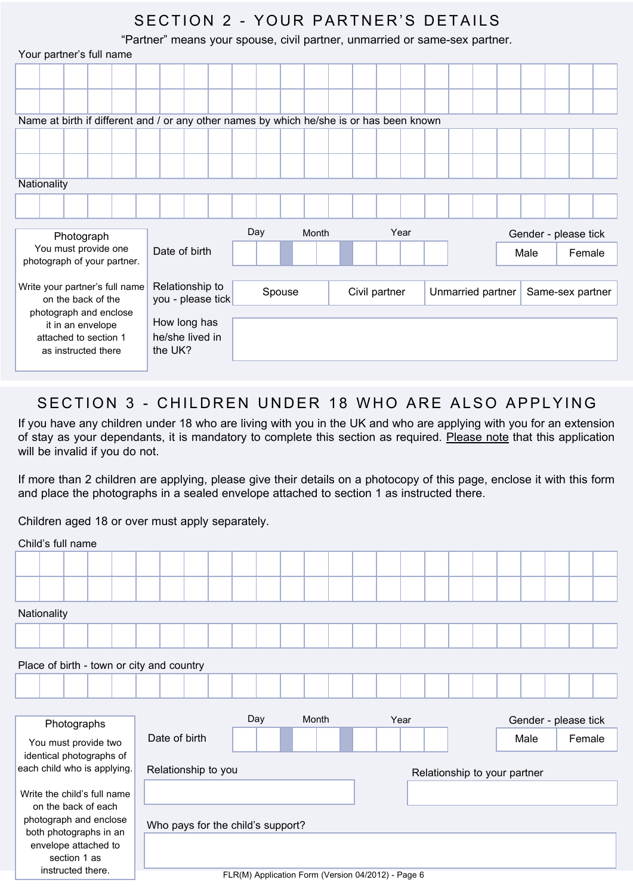## SECTION 2 - YOUR PARTNER'S DETAILS

"Partner" means your spouse, civil partner, unmarried or same-sex partner.

|             |  | Your partner's full name                     |                                |                            |                                                                                          |     |        |       |  |               |      |                   |  |      |                      |  |
|-------------|--|----------------------------------------------|--------------------------------|----------------------------|------------------------------------------------------------------------------------------|-----|--------|-------|--|---------------|------|-------------------|--|------|----------------------|--|
|             |  |                                              |                                |                            |                                                                                          |     |        |       |  |               |      |                   |  |      |                      |  |
|             |  |                                              |                                |                            |                                                                                          |     |        |       |  |               |      |                   |  |      |                      |  |
|             |  |                                              |                                |                            |                                                                                          |     |        |       |  |               |      |                   |  |      |                      |  |
|             |  |                                              |                                |                            | Name at birth if different and / or any other names by which he/she is or has been known |     |        |       |  |               |      |                   |  |      |                      |  |
|             |  |                                              |                                |                            |                                                                                          |     |        |       |  |               |      |                   |  |      |                      |  |
|             |  |                                              |                                |                            |                                                                                          |     |        |       |  |               |      |                   |  |      |                      |  |
| Nationality |  |                                              |                                |                            |                                                                                          |     |        |       |  |               |      |                   |  |      |                      |  |
|             |  |                                              |                                |                            |                                                                                          |     |        |       |  |               |      |                   |  |      |                      |  |
|             |  |                                              |                                |                            |                                                                                          |     |        |       |  |               |      |                   |  |      |                      |  |
|             |  | Photograph                                   |                                |                            |                                                                                          | Day |        | Month |  |               | Year |                   |  |      | Gender - please tick |  |
|             |  | You must provide one                         | photograph of your partner.    | Date of birth              |                                                                                          |     |        |       |  |               |      |                   |  | Male | Female               |  |
|             |  |                                              |                                |                            |                                                                                          |     |        |       |  |               |      |                   |  |      |                      |  |
|             |  | on the back of the                           | Write your partner's full name | Relationship to            | you - please tick                                                                        |     | Spouse |       |  | Civil partner |      | Unmarried partner |  |      | Same-sex partner     |  |
|             |  | photograph and enclose                       |                                |                            |                                                                                          |     |        |       |  |               |      |                   |  |      |                      |  |
|             |  | it in an envelope                            |                                | How long has               |                                                                                          |     |        |       |  |               |      |                   |  |      |                      |  |
|             |  | attached to section 1<br>as instructed there |                                | he/she lived in<br>the UK? |                                                                                          |     |        |       |  |               |      |                   |  |      |                      |  |
|             |  |                                              |                                |                            |                                                                                          |     |        |       |  |               |      |                   |  |      |                      |  |

## SECTION 3 - CHILDREN UNDER 18 WHO ARE ALSO APPLYING

If you have any children under 18 who are living with you in the UK and who are applying with you for an extension of stay as your dependants, it is mandatory to complete this section as required. Please note that this application will be invalid if you do not.

If more than 2 children are applying, please give their details on a photocopy of this page, enclose it with this form and place the photographs in a sealed envelope attached to section 1 as instructed there.

Children aged 18 or over must apply separately.

| Child's full name                         |                                   |     |       |      |                              |  |                      |        |  |
|-------------------------------------------|-----------------------------------|-----|-------|------|------------------------------|--|----------------------|--------|--|
|                                           |                                   |     |       |      |                              |  |                      |        |  |
|                                           |                                   |     |       |      |                              |  |                      |        |  |
| Nationality                               |                                   |     |       |      |                              |  |                      |        |  |
|                                           |                                   |     |       |      |                              |  |                      |        |  |
| Place of birth - town or city and country |                                   |     |       |      |                              |  |                      |        |  |
|                                           |                                   |     |       |      |                              |  |                      |        |  |
|                                           |                                   |     |       |      |                              |  |                      |        |  |
|                                           |                                   |     |       |      |                              |  |                      |        |  |
| Photographs                               |                                   | Day | Month | Year |                              |  | Gender - please tick |        |  |
| You must provide two                      | Date of birth                     |     |       |      |                              |  | Male                 | Female |  |
| identical photographs of                  |                                   |     |       |      |                              |  |                      |        |  |
| each child who is applying.               | Relationship to you               |     |       |      | Relationship to your partner |  |                      |        |  |
| Write the child's full name               |                                   |     |       |      |                              |  |                      |        |  |
| on the back of each                       |                                   |     |       |      |                              |  |                      |        |  |
| photograph and enclose                    |                                   |     |       |      |                              |  |                      |        |  |
| both photographs in an                    | Who pays for the child's support? |     |       |      |                              |  |                      |        |  |
| envelope attached to                      |                                   |     |       |      |                              |  |                      |        |  |
| section 1 as<br>instructed there.         |                                   |     |       |      |                              |  |                      |        |  |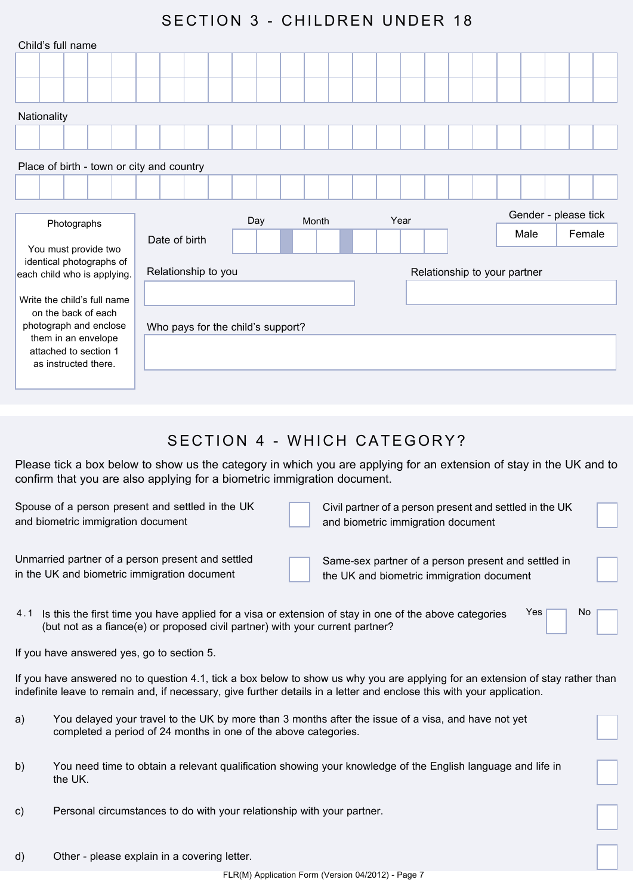## SECTION 3 - CHILDREN UNDER 18

| Child's full name                                                                             |                                   |     |       |      |                              |  |      |                      |
|-----------------------------------------------------------------------------------------------|-----------------------------------|-----|-------|------|------------------------------|--|------|----------------------|
|                                                                                               |                                   |     |       |      |                              |  |      |                      |
|                                                                                               |                                   |     |       |      |                              |  |      |                      |
| Nationality                                                                                   |                                   |     |       |      |                              |  |      |                      |
|                                                                                               |                                   |     |       |      |                              |  |      |                      |
| Place of birth - town or city and country                                                     |                                   |     |       |      |                              |  |      |                      |
|                                                                                               |                                   |     |       |      |                              |  |      |                      |
|                                                                                               |                                   |     |       |      |                              |  |      |                      |
|                                                                                               |                                   |     | Month | Year |                              |  |      | Gender - please tick |
| Photographs                                                                                   | Date of birth                     | Day |       |      |                              |  | Male | Female               |
| You must provide two<br>identical photographs of<br>each child who is applying.               | Relationship to you               |     |       |      | Relationship to your partner |  |      |                      |
| Write the child's full name                                                                   |                                   |     |       |      |                              |  |      |                      |
| on the back of each<br>photograph and enclose<br>them in an envelope<br>attached to section 1 | Who pays for the child's support? |     |       |      |                              |  |      |                      |

## SECTION 4 - WHICH CATEGORY?

Please tick a box below to show us the category in which you are applying for an extension of stay in the UK and to confirm that you are also applying for a biometric immigration document.

Spouse of a person present and settled in the UK and biometric immigration document

Unmarried partner of a person present and settled in the UK and biometric immigration document

Civil partner of a person present and settled in the UK and biometric immigration document

Same-sex partner of a person present and settled in the UK and biometric immigration document

| 4.1 Is this the first time you have applied for a visa or extension of stay in one of the above categories | Yes | Nc |
|------------------------------------------------------------------------------------------------------------|-----|----|
| (but not as a fiance(e) or proposed civil partner) with your current partner?                              |     |    |

If you have answered yes, go to section 5.

If you have answered no to question 4.1, tick a box below to show us why you are applying for an extension of stay rather than indefinite leave to remain and, if necessary, give further details in a letter and enclose this with your application.

- a) You delayed your travel to the UK by more than 3 months after the issue of a visa, and have not yet completed a period of 24 months in one of the above categories.
- b) You need time to obtain a relevant qualification showing your knowledge of the English language and life in the UK.
- c) Personal circumstances to do with your relationship with your partner.
- d) Other please explain in a covering letter.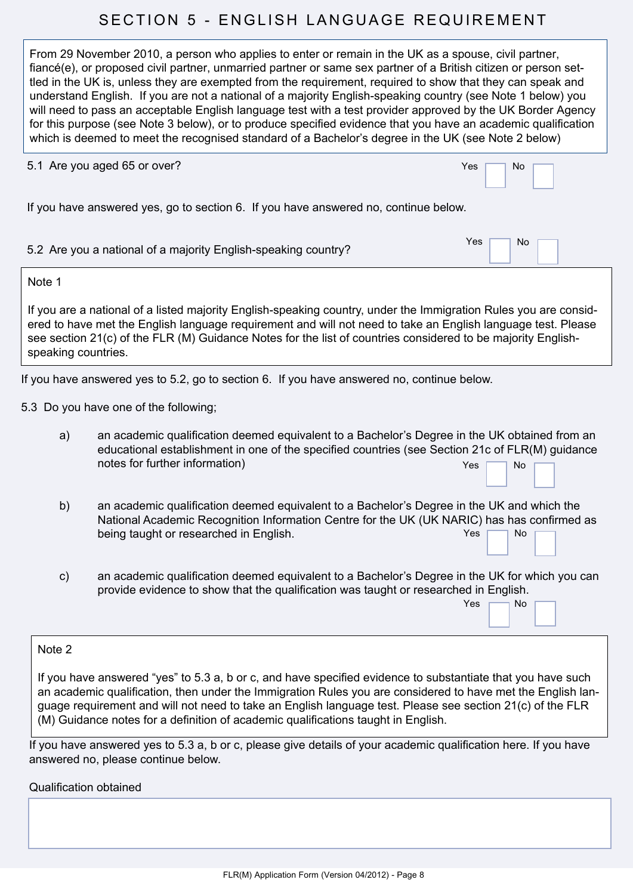## SECTION 5 - ENGLISH LANGUAGE REQUIREMENT

From 29 November 2010, a person who applies to enter or remain in the UK as a spouse, civil partner, fiancé(e), or proposed civil partner, unmarried partner or same sex partner of a British citizen or person settled in the UK is, unless they are exempted from the requirement, required to show that they can speak and understand English. If you are not a national of a majority English-speaking country (see Note 1 below) you will need to pass an acceptable English language test with a test provider approved by the UK Border Agency for this purpose (see Note 3 below), or to produce specified evidence that you have an academic qualification which is deemed to meet the recognised standard of a Bachelor's degree in the UK (see Note 2 below)

|                     | 5.1 Are you aged 65 or over?                                                                                                                                                                                                                                                                                                                     | Yes<br><b>No</b> |
|---------------------|--------------------------------------------------------------------------------------------------------------------------------------------------------------------------------------------------------------------------------------------------------------------------------------------------------------------------------------------------|------------------|
|                     | If you have answered yes, go to section 6. If you have answered no, continue below.                                                                                                                                                                                                                                                              |                  |
|                     | 5.2 Are you a national of a majority English-speaking country?                                                                                                                                                                                                                                                                                   | Yes<br>No        |
| Note 1              |                                                                                                                                                                                                                                                                                                                                                  |                  |
| speaking countries. | If you are a national of a listed majority English-speaking country, under the Immigration Rules you are consid-<br>ered to have met the English language requirement and will not need to take an English language test. Please<br>see section 21(c) of the FLR (M) Guidance Notes for the list of countries considered to be majority English- |                  |
|                     | If you have answered yes to 5.2, go to section 6. If you have answered no, continue below.                                                                                                                                                                                                                                                       |                  |
|                     | 5.3 Do you have one of the following;                                                                                                                                                                                                                                                                                                            |                  |
| a)                  | an academic qualification deemed equivalent to a Bachelor's Degree in the UK obtained from an<br>educational establishment in one of the specified countries (see Section 21c of FLR(M) guidance<br>notes for further information)                                                                                                               | <b>No</b><br>Yes |
| b)                  | an academic qualification deemed equivalent to a Bachelor's Degree in the UK and which the<br>National Academic Recognition Information Centre for the UK (UK NARIC) has has confirmed as<br>being taught or researched in English.                                                                                                              | Yes<br><b>No</b> |
|                     |                                                                                                                                                                                                                                                                                                                                                  |                  |

c) an academic qualification deemed equivalent to a Bachelor's Degree in the UK for which you can provide evidence to show that the qualification was taught or researched in English.

## $Yes$   $\neg$  No

#### Note 2

If you have answered "yes" to 5.3 a, b or c, and have specified evidence to substantiate that you have such an academic qualification, then under the Immigration Rules you are considered to have met the English language requirement and will not need to take an English language test. Please see section 21(c) of the FLR (M) Guidance notes for a definition of academic qualifications taught in English.

If you have answered yes to 5.3 a, b or c, please give details of your academic qualification here. If you have answered no, please continue below.

#### Qualification obtained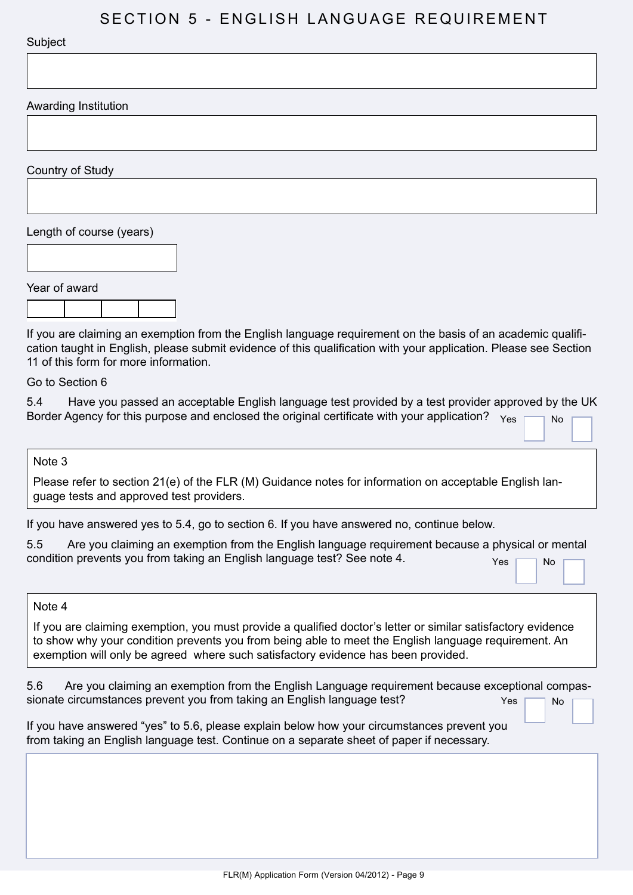## SECTION 5 - ENGLISH LANGUAGE REQUIREMENT

#### **Subject**

Awarding Institution

Country of Study

Length of course (years)

Year of award

If you are claiming an exemption from the English language requirement on the basis of an academic qualification taught in English, please submit evidence of this qualification with your application. Please see Section 11 of this form for more information.

Go to Section 6

5.4 Have you passed an acceptable English language test provided by a test provider approved by the UK Border Agency for this purpose and enclosed the original certificate with your application?  $Y_{\text{es}}$ 

#### Note 3

Please refer to section 21(e) of the FLR (M) Guidance notes for information on acceptable English language tests and approved test providers.

If you have answered yes to 5.4, go to section 6. If you have answered no, continue below.

| $5.5\,$ | Are you claiming an exemption from the English language requirement because a physical or mental |  |  |       |      |  |
|---------|--------------------------------------------------------------------------------------------------|--|--|-------|------|--|
|         | condition prevents you from taking an English language test? See note 4.                         |  |  | Yes Γ | No F |  |

#### Note 4

If you are claiming exemption, you must provide a qualified doctor's letter or similar satisfactory evidence to show why your condition prevents you from being able to meet the English language requirement. An exemption will only be agreed where such satisfactory evidence has been provided.

5.6 Are you claiming an exemption from the English Language requirement because exceptional compassionate circumstances prevent you from taking an English language test?  $Yes \frown$  No

| If you have answered "yes" to 5.6, please explain below how your circumstances prevent you |  |
|--------------------------------------------------------------------------------------------|--|
| from taking an English language test. Continue on a separate sheet of paper if necessary.  |  |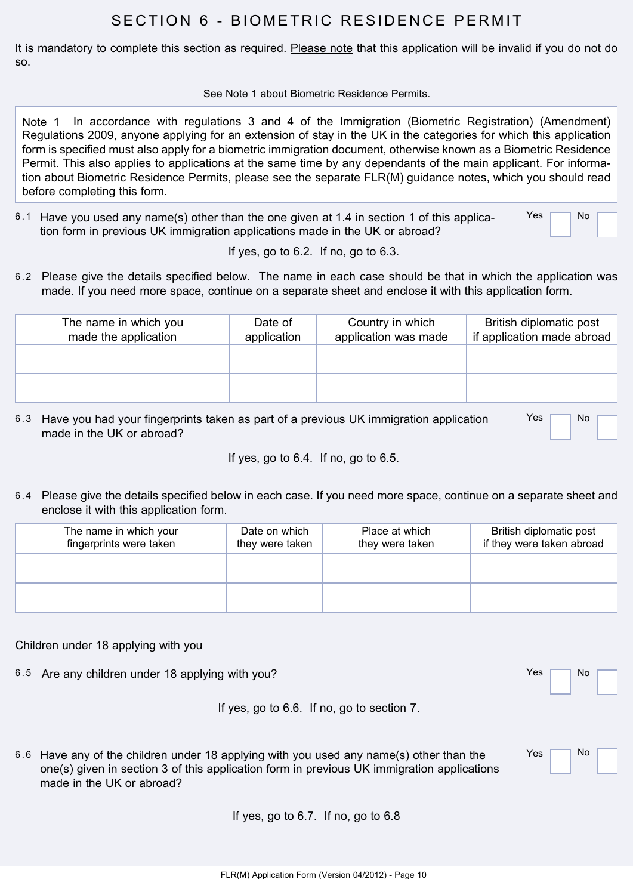## SECTION 6 - BIOMETRIC RESIDENCE PERMIT

It is mandatory to complete this section as required. Please note that this application will be invalid if you do not do so.

See Note 1 about Biometric Residence Permits.

Note 1 In accordance with regulations 3 and 4 of the Immigration (Biometric Registration) (Amendment) Regulations 2009, anyone applying for an extension of stay in the UK in the categories for which this application form is specified must also apply for a biometric immigration document, otherwise known as a Biometric Residence Permit. This also applies to applications at the same time by any dependants of the main applicant. For information about Biometric Residence Permits, please see the separate FLR(M) guidance notes, which you should read before completing this form.

6.1 Have you used any name(s) other than the one given at 1.4 in section 1 of this application form in previous UK immigration applications made in the UK or abroad?  $Yes$   $\neg$  No

If yes, go to 6.2. If no, go to 6.3.

6.2 Please give the details specified below. The name in each case should be that in which the application was made. If you need more space, continue on a separate sheet and enclose it with this application form.

| The name in which you<br>made the application | Date of<br>application | Country in which<br>application was made | British diplomatic post<br>if application made abroad |
|-----------------------------------------------|------------------------|------------------------------------------|-------------------------------------------------------|
|                                               |                        |                                          |                                                       |
|                                               |                        |                                          |                                                       |

6.3 Have you had your fingerprints taken as part of a previous UK immigration application made in the UK or abroad? Yes **No** 

If yes, go to 6.4. If no, go to 6.5.

6.4 Please give the details specified below in each case. If you need more space, continue on a separate sheet and enclose it with this application form.

| The name in which your<br>fingerprints were taken | Date on which<br>they were taken | Place at which<br>they were taken | British diplomatic post<br>if they were taken abroad |
|---------------------------------------------------|----------------------------------|-----------------------------------|------------------------------------------------------|
|                                                   |                                  |                                   |                                                      |
|                                                   |                                  |                                   |                                                      |

Children under 18 applying with you

6.5 Are any children under 18 applying with you? Yes No

Yes No

If yes, go to 6.6. If no, go to section 7.

| 6.6 Have any of the children under 18 applying with you used any name(s) other than the    |
|--------------------------------------------------------------------------------------------|
| one(s) given in section 3 of this application form in previous UK immigration applications |
| made in the UK or abroad?                                                                  |

If yes, go to 6.7. If no, go to 6.8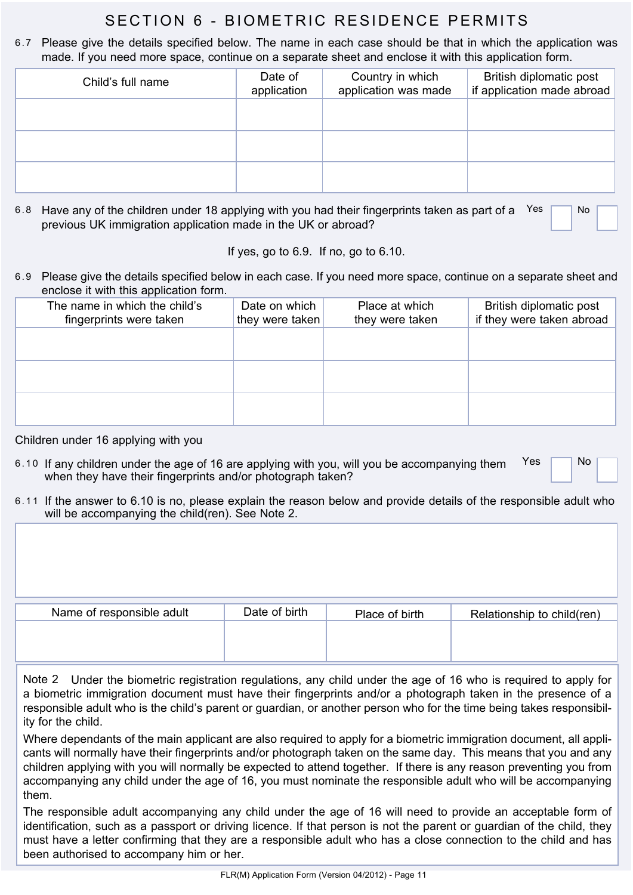## SECTION 6 - BIOMETRIC RESIDENCE PERMITS

6.7 Please give the details specified below. The name in each case should be that in which the application was made. If you need more space, continue on a separate sheet and enclose it with this application form.

| Child's full name | Date of<br>application | Country in which<br>application was made | British diplomatic post<br>if application made abroad |
|-------------------|------------------------|------------------------------------------|-------------------------------------------------------|
|                   |                        |                                          |                                                       |
|                   |                        |                                          |                                                       |
|                   |                        |                                          |                                                       |

6.8 Have any of the children under 18 applying with you had their fingerprints taken as part of a  $Yes$   $\Box$  No previous UK immigration application made in the UK or abroad?

If yes, go to 6.9. If no, go to 6.10.

6.9 Please give the details specified below in each case. If you need more space, continue on a separate sheet and enclose it with this application form.

| The name in which the child's<br>fingerprints were taken | Date on which<br>they were taken | Place at which<br>they were taken | British diplomatic post<br>if they were taken abroad |
|----------------------------------------------------------|----------------------------------|-----------------------------------|------------------------------------------------------|
|                                                          |                                  |                                   |                                                      |
|                                                          |                                  |                                   |                                                      |
|                                                          |                                  |                                   |                                                      |

#### Children under 16 applying with you

- 6.10 If any children under the age of 16 are applying with you, will you be accompanying them  $\bigcap_{i=1}^{\infty}$  No when they have their fingerprints and/or photograph taken?
- 6.11 If the answer to 6.10 is no, please explain the reason below and provide details of the responsible adult who will be accompanying the child(ren). See Note 2.

| Name of responsible adult | Date of birth | Place of birth | Relationship to child(ren) |
|---------------------------|---------------|----------------|----------------------------|
|                           |               |                |                            |
|                           |               |                |                            |

Note 2 Under the biometric registration regulations, any child under the age of 16 who is required to apply for a biometric immigration document must have their fingerprints and/or a photograph taken in the presence of a responsible adult who is the child's parent or guardian, or another person who for the time being takes responsibility for the child.

Where dependants of the main applicant are also required to apply for a biometric immigration document, all applicants will normally have their fingerprints and/or photograph taken on the same day. This means that you and any children applying with you will normally be expected to attend together. If there is any reason preventing you from accompanying any child under the age of 16, you must nominate the responsible adult who will be accompanying them.

The responsible adult accompanying any child under the age of 16 will need to provide an acceptable form of identification, such as a passport or driving licence. If that person is not the parent or guardian of the child, they must have a letter confirming that they are a responsible adult who has a close connection to the child and has been authorised to accompany him or her.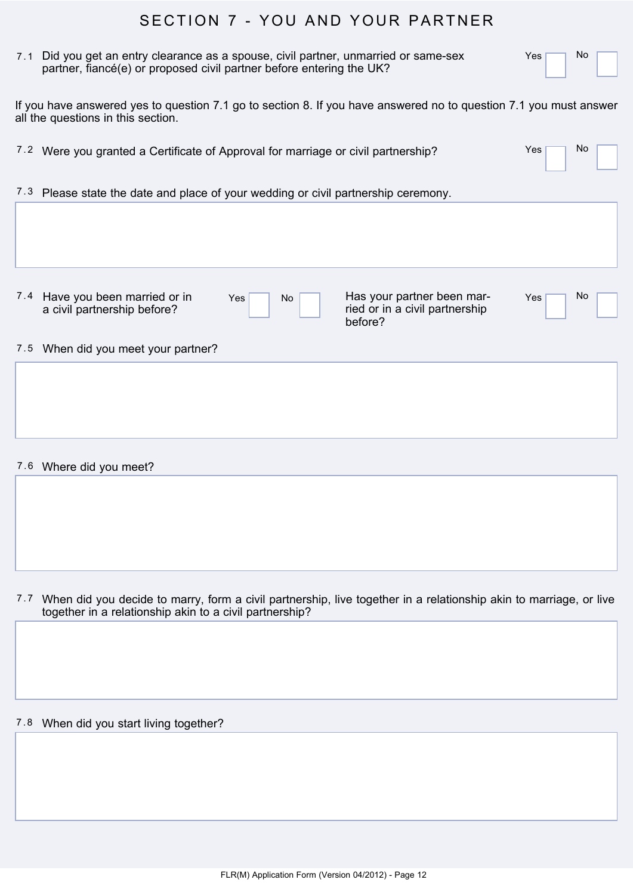## SECTION 7 - YOU AND YOUR PARTNER

| 7.1 Did you get an entry clearance as a spouse, civil partner, unmarried or same-sex |  |
|--------------------------------------------------------------------------------------|--|
| partner, fiancé(e) or proposed civil partner before entering the UK?                 |  |

Yes<sup>No</sup>

N<sub>o</sub>

If you have answered yes to question 7.1 go to section 8. If you have answered no to question 7.1 you must answer all the questions in this section.

| 7.2 Were you granted a Certificate of Approval for marriage or civil partnership? | Yes <b>F</b> |
|-----------------------------------------------------------------------------------|--------------|
|                                                                                   |              |

 $7.3$  Please state the date and place of your wedding or civil partnership ceremony.

7.4 Have you been married or in Yes No No Has your partner been mara civil partnership before?

ried or in a civil partnership before?

Yes<sup>No</sup>

#### 7.5 When did you meet your partner?

7.6 Where did you meet?

7.7 When did you decide to marry, form a civil partnership, live together in a relationship akin to marriage, or live together in a relationship akin to a civil partnership?

7.8 When did you start living together?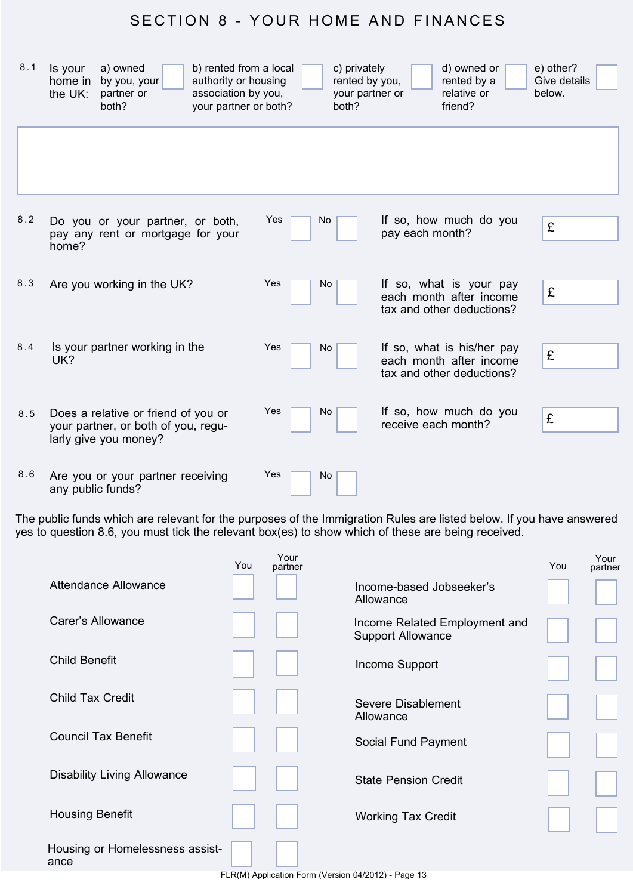## SECTION 8 - YOUR HOME AND FINANCES

| 8.1 | Is your<br>home in<br>the UK: | a) owned<br>by you, your<br>partner or<br>both?                                                     | b) rented from a local<br>authority or housing<br>association by you,<br>your partner or both? |     | c) privately<br>rented by you,<br>both? | your partner or     | d) owned or<br>rented by a<br>relative or<br>friend?                               | e) other?<br>Give details<br>below. |
|-----|-------------------------------|-----------------------------------------------------------------------------------------------------|------------------------------------------------------------------------------------------------|-----|-----------------------------------------|---------------------|------------------------------------------------------------------------------------|-------------------------------------|
|     |                               |                                                                                                     |                                                                                                |     |                                         |                     |                                                                                    |                                     |
| 8.2 | home?                         | Do you or your partner, or both,<br>pay any rent or mortgage for your                               |                                                                                                | Yes | <b>No</b>                               | pay each month?     | If so, how much do you                                                             | £                                   |
| 8.3 |                               | Are you working in the UK?                                                                          |                                                                                                | Yes | No                                      |                     | If so, what is your pay<br>each month after income<br>tax and other deductions?    | £                                   |
| 8.4 | UK?                           | Is your partner working in the                                                                      |                                                                                                | Yes | No                                      |                     | If so, what is his/her pay<br>each month after income<br>tax and other deductions? | £                                   |
| 8.5 |                               | Does a relative or friend of you or<br>your partner, or both of you, regu-<br>larly give you money? |                                                                                                | Yes | No                                      | receive each month? | If so, how much do you                                                             | £                                   |
| 8.6 | any public funds?             | Are you or your partner receiving                                                                   |                                                                                                | Yes | No                                      |                     |                                                                                    |                                     |

The public funds which are relevant for the purposes of the Immigration Rules are listed below. If you have answered yes to question 8.6, you must tick the relevant box(es) to show which of these are being received.

|                                         | You | Your<br>partner |                                                           | You | Your<br>partner |
|-----------------------------------------|-----|-----------------|-----------------------------------------------------------|-----|-----------------|
| <b>Attendance Allowance</b>             |     |                 | Income-based Jobseeker's<br>Allowance                     |     |                 |
| Carer's Allowance                       |     |                 | Income Related Employment and<br><b>Support Allowance</b> |     |                 |
| <b>Child Benefit</b>                    |     |                 | Income Support                                            |     |                 |
| Child Tax Credit                        |     |                 | Severe Disablement<br>Allowance                           |     |                 |
| <b>Council Tax Benefit</b>              |     |                 | Social Fund Payment                                       |     |                 |
| <b>Disability Living Allowance</b>      |     |                 | <b>State Pension Credit</b>                               |     |                 |
| <b>Housing Benefit</b>                  |     |                 | <b>Working Tax Credit</b>                                 |     |                 |
| Housing or Homelessness assist-<br>ance |     |                 |                                                           |     |                 |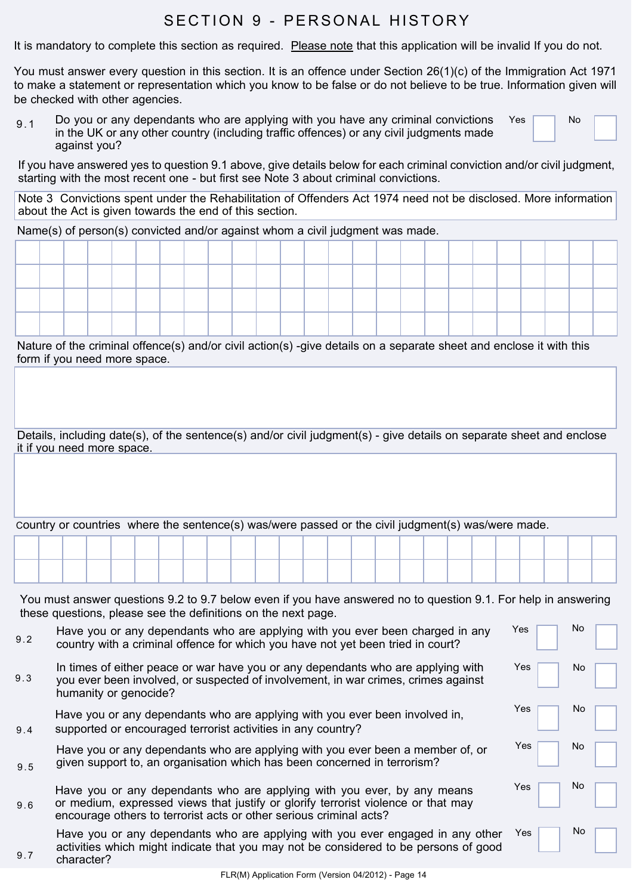## SECTION 9 - PERSONAL HISTORY

It is mandatory to complete this section as required. Please note that this application will be invalid If you do not.

You must answer every question in this section. It is an offence under Section 26(1)(c) of the Immigration Act 1971 to make a statement or representation which you know to be false or do not believe to be true. Information given will be checked with other agencies.

 $9.1$  Do you or any dependants who are applying with you have any criminal convictions in the UK or any other country (including traffic offences) or any civil judgments made against you?  $Yes$  No

If you have answered yes to question 9.1 above, give details below for each criminal conviction and/or civil judgment, starting with the most recent one - but first see Note 3 about criminal convictions.

Note 3 Convictions spent under the Rehabilitation of Offenders Act 1974 need not be disclosed. More information about the Act is given towards the end of this section.

Name(s) of person(s) convicted and/or against whom a civil judgment was made.

|  |  |  |  |  |  |  |  |  |  |  |  | ____ |
|--|--|--|--|--|--|--|--|--|--|--|--|------|
|  |  |  |  |  |  |  |  |  |  |  |  |      |
|  |  |  |  |  |  |  |  |  |  |  |  |      |
|  |  |  |  |  |  |  |  |  |  |  |  |      |

Nature of the criminal offence(s) and/or civil action(s) -give details on a separate sheet and enclose it with this form if you need more space.

Details, including date(s), of the sentence(s) and/or civil judgment(s) - give details on separate sheet and enclose it if you need more space.

Country or countries where the sentence(s) was/were passed or the civil judgment(s) was/were made.

|  |  | the contract of the contract of the | the contract of the contract of the | the contract of the contract of the contract of | the contract of the contract of the | the company of the company of the company |  |  |  |  |  |
|--|--|-------------------------------------|-------------------------------------|-------------------------------------------------|-------------------------------------|-------------------------------------------|--|--|--|--|--|

You must answer questions 9.2 to 9.7 below even if you have answered no to question 9.1. For help in answering these questions, please see the definitions on the next page.

- $\frac{9.2}{2}$  Have you or any dependants who are applying with you ever been charged in any country with a criminal offence for which you have not yet been tried in court?
- 9.3 In times of either peace or war have you or any dependants who are applying with you ever been involved, or suspected of involvement, in war crimes, crimes against humanity or genocide?

Have you or any dependants who are applying with you ever been involved in, supported or encouraged terrorist activities in any country?

9.4

9.7

|                | Have you or any dependants who are applying with you ever been a member of, or |
|----------------|--------------------------------------------------------------------------------|
| 9 <sub>5</sub> | given support to, an organisation which has been concerned in terrorism?       |

|     | Have you or any dependants who are applying with you ever, by any means           |
|-----|-----------------------------------------------------------------------------------|
| 9.6 | or medium, expressed views that justify or glorify terrorist violence or that may |
|     | encourage others to terrorist acts or other serious criminal acts?                |

Have you or any dependants who are applying with you ever engaged in any other activities which might indicate that you may not be considered to be persons of good character?

| Yes | No |  |
|-----|----|--|
| Yes | No |  |
| Yes | No |  |
| Yes | No |  |
| Yes | No |  |
| Yes | No |  |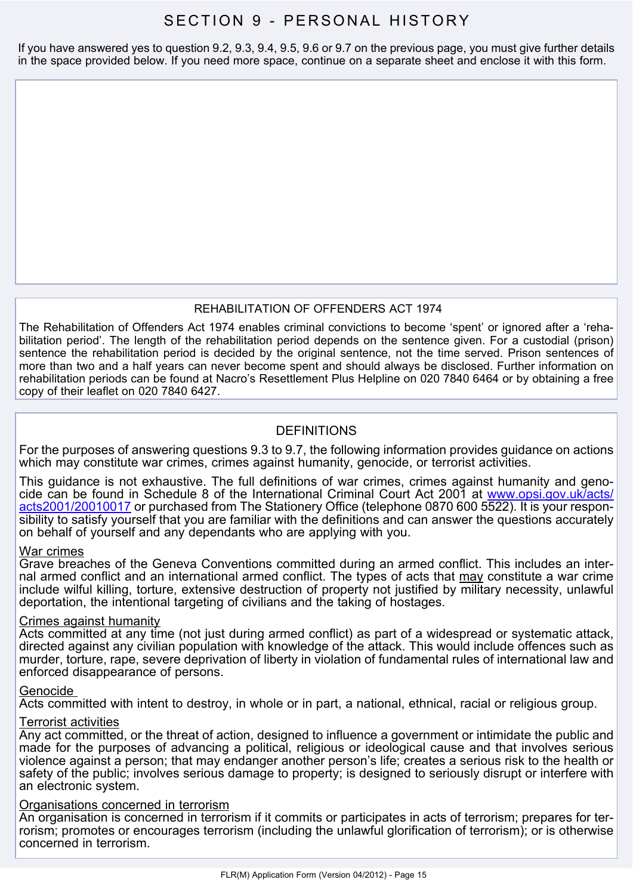## SECTION 9 - PERSONAL HISTORY

If you have answered yes to question 9.2, 9.3, 9.4, 9.5, 9.6 or 9.7 on the previous page, you must give further details in the space provided below. If you need more space, continue on a separate sheet and enclose it with this form.

#### REHABILITATION OF OFFENDERS ACT 1974

The Rehabilitation of Offenders Act 1974 enables criminal convictions to become 'spent' or ignored after a 'rehabilitation period'. The length of the rehabilitation period depends on the sentence given. For a custodial (prison) sentence the rehabilitation period is decided by the original sentence, not the time served. Prison sentences of more than two and a half years can never become spent and should always be disclosed. Further information on rehabilitation periods can be found at Nacro's Resettlement Plus Helpline on 020 7840 6464 or by obtaining a free copy of their leaflet on 020 7840 6427.

#### DEFINITIONS

For the purposes of answering questions 9.3 to 9.7, the following information provides guidance on actions which may constitute war crimes, crimes against humanity, genocide, or terrorist activities.

This guidance is not exhaustive. The full definitions of war crimes, crimes against humanity and genocide can be found in Schedule 8 of the International Criminal Court Act 2001 at [www.opsi.gov.uk/acts/](www.opsi.gov.uk/acts/acts2001/20010017) [acts2001/20010017](www.opsi.gov.uk/acts/acts2001/20010017) or purchased from The Stationery Office (telephone 0870 600 5522). It is your responsibility to satisfy yourself that you are familiar with the definitions and can answer the questions accurately on behalf of yourself and any dependants who are applying with you.

#### War crimes

Grave breaches of the Geneva Conventions committed during an armed conflict. This includes an internal armed conflict and an international armed conflict. The types of acts that may constitute a war crime include wilful killing, torture, extensive destruction of property not justified by military necessity, unlawful deportation, the intentional targeting of civilians and the taking of hostages.

#### Crimes against humanity

Acts committed at any time (not just during armed conflict) as part of a widespread or systematic attack, directed against any civilian population with knowledge of the attack. This would include offences such as murder, torture, rape, severe deprivation of liberty in violation of fundamental rules of international law and enforced disappearance of persons.

#### Genocide

Acts committed with intent to destroy, in whole or in part, a national, ethnical, racial or religious group.

#### Terrorist activities

Any act committed, or the threat of action, designed to influence a government or intimidate the public and made for the purposes of advancing a political, religious or ideological cause and that involves serious violence against a person; that may endanger another person's life; creates a serious risk to the health or safety of the public; involves serious damage to property; is designed to seriously disrupt or interfere with an electronic system.

#### Organisations concerned in terrorism

An organisation is concerned in terrorism if it commits or participates in acts of terrorism; prepares for terrorism; promotes or encourages terrorism (including the unlawful glorification of terrorism); or is otherwise concerned in terrorism.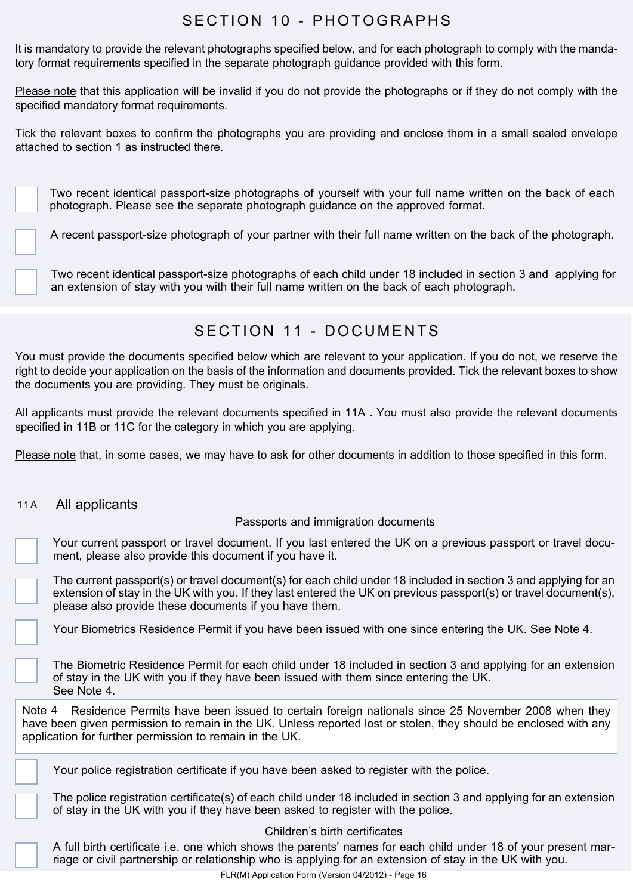## SECTION 10 - PHOTOGRAPHS

It is mandatory to provide the relevant photographs specified below, and for each photograph to comply with the mandatory format requirements specified in the separate photograph guidance provided with this form.

Please note that this application will be invalid if you do not provide the photographs or if they do not comply with the specified mandatory format requirements.

Tick the relevant boxes to confirm the photographs you are providing and enclose them in a small sealed envelope attached to section 1 as instructed there.

Two recent identical passport-size photographs of yourself with your full name written on the back of each photograph. Please see the separate photograph guidance on the approved format.

A recent passport-size photograph of your partner with their full name written on the back of the photograph.

Two recent identical passport-size photographs of each child under 18 included in section 3 and applying for an extension of stay with you with their full name written on the back of each photograph.

## S F C T I ON 11 - DO CUMENTS

You must provide the documents specified below which are relevant to your application. If you do not, we reserve the right to decide your application on the basis of the information and documents provided. Tick the relevant boxes to show the documents you are providing. They must be originals.

All applicants must provide the relevant documents specified in 11A . You must also provide the relevant documents specified in 11B or 11C for the category in which you are applying.

Please note that, in some cases, we may have to ask for other documents in addition to those specified in this form.

#### 11A All applicants

#### Passports and immigration documents

Your current passport or travel document. If you last entered the UK on a previous passport or travel document, please also provide this document if you have it.

The current passport(s) or travel document(s) for each child under 18 included in section 3 and applying for an extension of stay in the UK with you. If they last entered the UK on previous passport(s) or travel document(s), please also provide these documents if you have them.

Your Biometrics Residence Permit if you have been issued with one since entering the UK. See Note 4.

The Biometric Residence Permit for each child under 18 included in section 3 and applying for an extension of stay in the UK with you if they have been issued with them since entering the UK. See Note 4.

Note 4 Residence Permits have been issued to certain foreign nationals since 25 November 2008 when they have been given permission to remain in the UK. Unless reported lost or stolen, they should be enclosed with any application for further permission to remain in the UK.

Your police registration certificate if you have been asked to register with the police.

The police registration certificate(s) of each child under 18 included in section 3 and applying for an extension of stay in the UK with you if they have been asked to register with the police.

Children's birth certificates

A full birth certificate i.e. one which shows the parents' names for each child under 18 of your present marriage or civil partnership or relationship who is applying for an extension of stay in the UK with you.

FLR(M) Application Form (Version 04/2012) - Page 16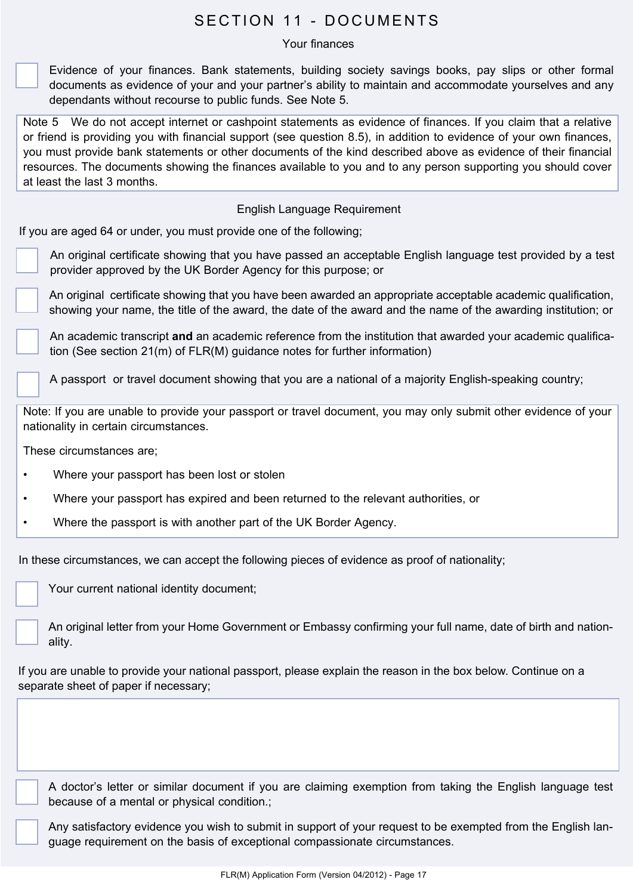## SECTION 11 - DOCUMENTS

#### Your finances

Evidence of your finances. Bank statements, building society savings books, pay slips or other formal documents as evidence of your and your partner's ability to maintain and accommodate yourselves and any dependants without recourse to public funds. See Note 5.

Note 5 We do not accept internet or cashpoint statements as evidence of finances. If you claim that a relative or friend is providing you with financial support (see question 8.5), in addition to evidence of your own finances, you must provide bank statements or other documents of the kind described above as evidence of their financial resources. The documents showing the finances available to you and to any person supporting you should cover at least the last 3 months.

#### English Language Requirement

If you are aged 64 or under, you must provide one of the following;

An original certificate showing that you have passed an acceptable English language test provided by a test provider approved by the UK Border Agency for this purpose; or

An original certificate showing that you have been awarded an appropriate acceptable academic qualification, showing your name, the title of the award, the date of the award and the name of the awarding institution; or

An academic transcript **and** an academic reference from the institution that awarded your academic qualification (See section 21(m) of FLR(M) guidance notes for further information)

A passport or travel document showing that you are a national of a majority English-speaking country;

Note: If you are unable to provide your passport or travel document, you may only submit other evidence of your nationality in certain circumstances.

These circumstances are;

- Where your passport has been lost or stolen
- Where your passport has expired and been returned to the relevant authorities, or
- Where the passport is with another part of the UK Border Agency.

In these circumstances, we can accept the following pieces of evidence as proof of nationality;

Your current national identity document;

An original letter from your Home Government or Embassy confirming your full name, date of birth and nationality.

If you are unable to provide your national passport, please explain the reason in the box below. Continue on a separate sheet of paper if necessary;

A doctor's letter or similar document if you are claiming exemption from taking the English language test because of a mental or physical condition.;

Any satisfactory evidence you wish to submit in support of your request to be exempted from the English language requirement on the basis of exceptional compassionate circumstances.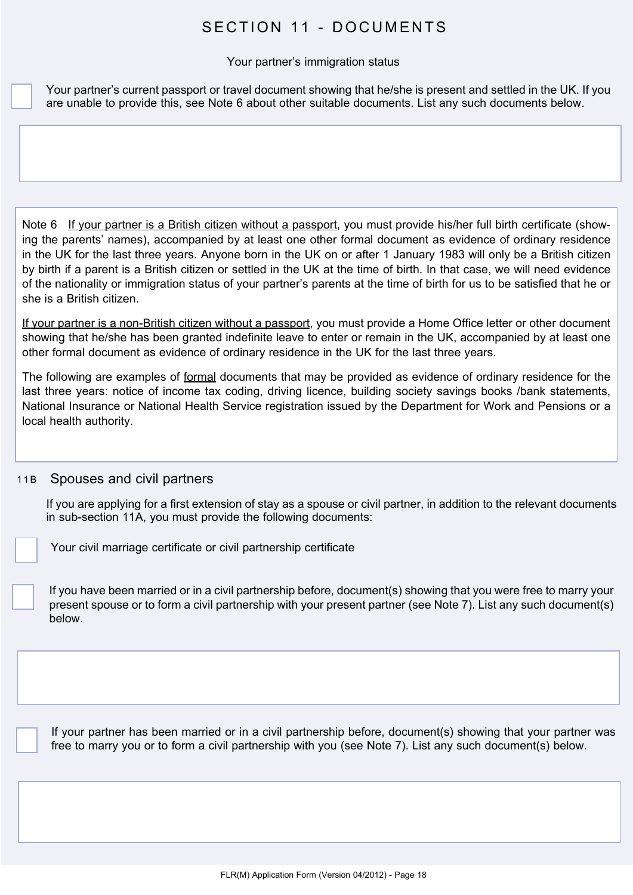## SECTION 11 - DOCUMENTS

#### Your partner's immigration status

Your partner's current passport or travel document showing that he/she is present and settled in the UK. If you are unable to provide this, see Note 6 about other suitable documents. List any such documents below.

Note 6 If your partner is a British citizen without a passport, you must provide his/her full birth certificate (showing the parents' names), accompanied by at least one other formal document as evidence of ordinary residence in the UK for the last three years. Anyone born in the UK on or after 1 January 1983 will only be a British citizen by birth if a parent is a British citizen or settled in the UK at the time of birth. In that case, we will need evidence of the nationality or immigration status of your partner's parents at the time of birth for us to be satisfied that he or she is a British citizen.

If your partner is a non-British citizen without a passport, you must provide a Home Office letter or other document showing that he/she has been granted indefinite leave to enter or remain in the UK, accompanied by at least one other formal document as evidence of ordinary residence in the UK for the last three years.

The following are examples of formal documents that may be provided as evidence of ordinary residence for the last three years: notice of income tax coding, driving licence, building society savings books /bank statements, National Insurance or National Health Service registration issued by the Department for Work and Pensions or a local health authority.

#### 11B Spouses and civil partners

If you are applying for a first extension of stay as a spouse or civil partner, in addition to the relevant documents in sub-section 11A, you must provide the following documents:

Your civil marriage certificate or civil partnership certificate

If you have been married or in a civil partnership before, document(s) showing that you were free to marry your present spouse or to form a civil partnership with your present partner (see Note 7). List any such document(s) below.

If your partner has been married or in a civil partnership before, document(s) showing that your partner was free to marry you or to form a civil partnership with you (see Note 7). List any such document(s) below.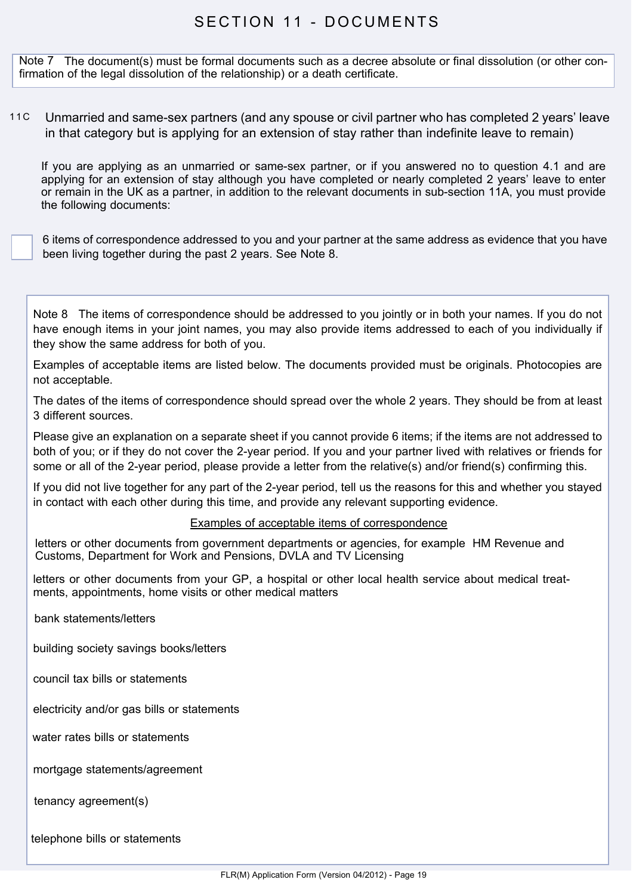## SECTION 11 - DOCUMENTS

Note 7 The document(s) must be formal documents such as a decree absolute or final dissolution (or other confirmation of the legal dissolution of the relationship) or a death certificate.

11C Unmarried and same-sex partners (and any spouse or civil partner who has completed 2 years' leave in that category but is applying for an extension of stay rather than indefinite leave to remain)

If you are applying as an unmarried or same-sex partner, or if you answered no to question 4.1 and are applying for an extension of stay although you have completed or nearly completed 2 years' leave to enter or remain in the UK as a partner, in addition to the relevant documents in sub-section 11A, you must provide the following documents:

6 items of correspondence addressed to you and your partner at the same address as evidence that you have been living together during the past 2 years. See Note 8.

Note 8 The items of correspondence should be addressed to you jointly or in both your names. If you do not have enough items in your joint names, you may also provide items addressed to each of you individually if they show the same address for both of you.

Examples of acceptable items are listed below. The documents provided must be originals. Photocopies are not acceptable.

The dates of the items of correspondence should spread over the whole 2 years. They should be from at least 3 different sources.

Please give an explanation on a separate sheet if you cannot provide 6 items; if the items are not addressed to both of you; or if they do not cover the 2-year period. If you and your partner lived with relatives or friends for some or all of the 2-year period, please provide a letter from the relative(s) and/or friend(s) confirming this.

If you did not live together for any part of the 2-year period, tell us the reasons for this and whether you stayed in contact with each other during this time, and provide any relevant supporting evidence.

#### Examples of acceptable items of correspondence

letters or other documents from government departments or agencies, for example HM Revenue and Customs, Department for Work and Pensions, DVLA and TV Licensing

letters or other documents from your GP, a hospital or other local health service about medical treatments, appointments, home visits or other medical matters

bank statements/letters

building society savings books/letters

council tax bills or statements

electricity and/or gas bills or statements

water rates bills or statements

mortgage statements/agreement

tenancy agreement(s)

telephone bills or statements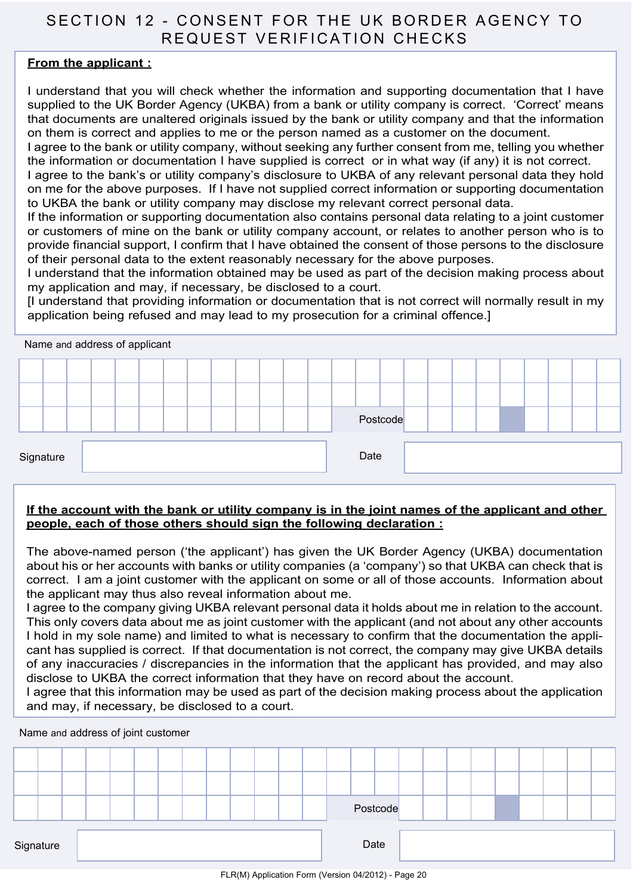## SECTION 12 - Consent for the UK BORDER AGENCY to R FOUFST VERIFICATION CHECKS

#### **From the applicant :**

I understand that you will check whether the information and supporting documentation that I have supplied to the UK Border Agency (UKBA) from a bank or utility company is correct. 'Correct' means that documents are unaltered originals issued by the bank or utility company and that the information on them is correct and applies to me or the person named as a customer on the document.

I agree to the bank or utility company, without seeking any further consent from me, telling you whether the information or documentation I have supplied is correct or in what way (if any) it is not correct.

I agree to the bank's or utility company's disclosure to UKBA of any relevant personal data they hold on me for the above purposes. If I have not supplied correct information or supporting documentation to UKBA the bank or utility company may disclose my relevant correct personal data.

If the information or supporting documentation also contains personal data relating to a joint customer or customers of mine on the bank or utility company account, or relates to another person who is to provide financial support, I confirm that I have obtained the consent of those persons to the disclosure of their personal data to the extent reasonably necessary for the above purposes.

I understand that the information obtained may be used as part of the decision making process about my application and may, if necessary, be disclosed to a court.

[I understand that providing information or documentation that is not correct will normally result in my application being refused and may lead to my prosecution for a criminal offence.]



#### **If the account with the bank or utility company is in the joint names of the applicant and other people, each of those others should sign the following declaration :**

The above-named person ('the applicant') has given the UK Border Agency (UKBA) documentation about his or her accounts with banks or utility companies (a 'company') so that UKBA can check that is correct. I am a joint customer with the applicant on some or all of those accounts. Information about the applicant may thus also reveal information about me.

I agree to the company giving UKBA relevant personal data it holds about me in relation to the account. This only covers data about me as joint customer with the applicant (and not about any other accounts I hold in my sole name) and limited to what is necessary to confirm that the documentation the applicant has supplied is correct. If that documentation is not correct, the company may give UKBA details of any inaccuracies / discrepancies in the information that the applicant has provided, and may also disclose to UKBA the correct information that they have on record about the account.

I agree that this information may be used as part of the decision making process about the application and may, if necessary, be disclosed to a court.

Name and address of joint customer

|           |  |  |  |  |  |  |      | Postcode |  |  |  |  |  |
|-----------|--|--|--|--|--|--|------|----------|--|--|--|--|--|
| Signature |  |  |  |  |  |  | Date |          |  |  |  |  |  |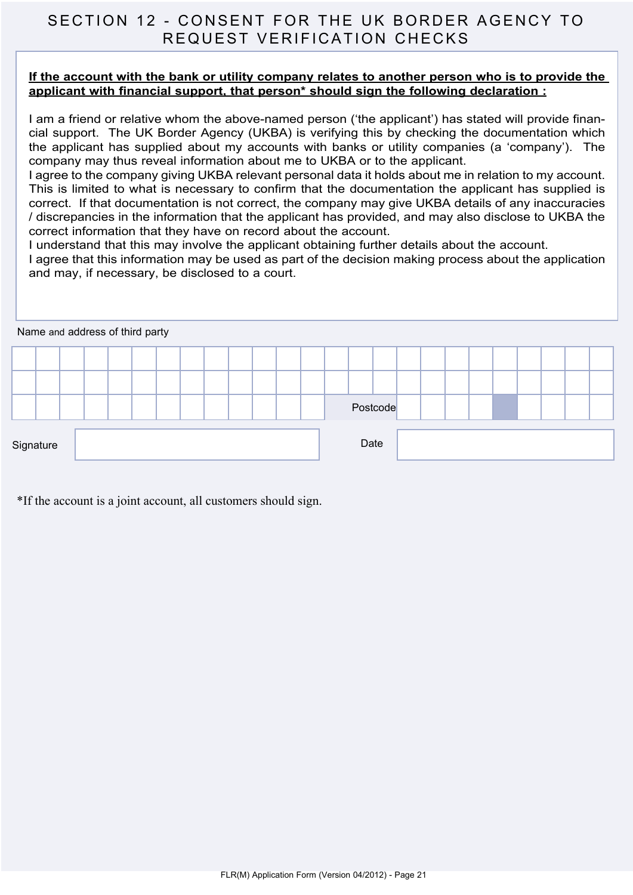## SECTION 12 - Consent for the UK BORDER AGENCY to R FOUFST VERIFICATION CHECKS

#### **If the account with the bank or utility company relates to another person who is to provide the applicant with financial support, that person\* should sign the following declaration :**

I am a friend or relative whom the above-named person ('the applicant') has stated will provide financial support. The UK Border Agency (UKBA) is verifying this by checking the documentation which the applicant has supplied about my accounts with banks or utility companies (a 'company'). The company may thus reveal information about me to UKBA or to the applicant.

I agree to the company giving UKBA relevant personal data it holds about me in relation to my account. This is limited to what is necessary to confirm that the documentation the applicant has supplied is correct. If that documentation is not correct, the company may give UKBA details of any inaccuracies / discrepancies in the information that the applicant has provided, and may also disclose to UKBA the correct information that they have on record about the account.

I understand that this may involve the applicant obtaining further details about the account.

I agree that this information may be used as part of the decision making process about the application and may, if necessary, be disclosed to a court.

|           | Name and address of third party |  |  |  |  |  |  |  |  |  |          |  |  |  |  |  |
|-----------|---------------------------------|--|--|--|--|--|--|--|--|--|----------|--|--|--|--|--|
|           |                                 |  |  |  |  |  |  |  |  |  |          |  |  |  |  |  |
|           |                                 |  |  |  |  |  |  |  |  |  |          |  |  |  |  |  |
|           |                                 |  |  |  |  |  |  |  |  |  | Postcode |  |  |  |  |  |
| Signature |                                 |  |  |  |  |  |  |  |  |  | Date     |  |  |  |  |  |

\*If the account is a joint account, all customers should sign.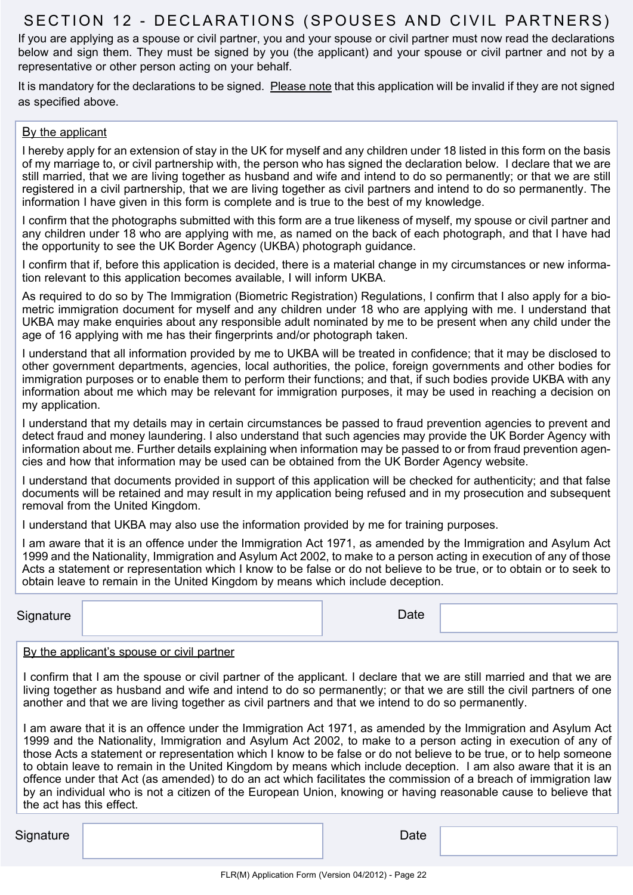## SECTION 12 - DECLARATIONS (SPOUSES AND CIVIL PARTNERS)

If you are applying as a spouse or civil partner, you and your spouse or civil partner must now read the declarations below and sign them. They must be signed by you (the applicant) and your spouse or civil partner and not by a representative or other person acting on your behalf.

It is mandatory for the declarations to be signed. Please note that this application will be invalid if they are not signed as specified above.

#### By the applicant

I hereby apply for an extension of stay in the UK for myself and any children under 18 listed in this form on the basis of my marriage to, or civil partnership with, the person who has signed the declaration below. I declare that we are still married, that we are living together as husband and wife and intend to do so permanently; or that we are still registered in a civil partnership, that we are living together as civil partners and intend to do so permanently. The information I have given in this form is complete and is true to the best of my knowledge.

I confirm that the photographs submitted with this form are a true likeness of myself, my spouse or civil partner and any children under 18 who are applying with me, as named on the back of each photograph, and that I have had the opportunity to see the UK Border Agency (UKBA) photograph guidance.

I confirm that if, before this application is decided, there is a material change in my circumstances or new information relevant to this application becomes available, I will inform UKBA.

As required to do so by The Immigration (Biometric Registration) Regulations, I confirm that I also apply for a biometric immigration document for myself and any children under 18 who are applying with me. I understand that UKBA may make enquiries about any responsible adult nominated by me to be present when any child under the age of 16 applying with me has their fingerprints and/or photograph taken.

I understand that all information provided by me to UKBA will be treated in confidence; that it may be disclosed to other government departments, agencies, local authorities, the police, foreign governments and other bodies for immigration purposes or to enable them to perform their functions; and that, if such bodies provide UKBA with any information about me which may be relevant for immigration purposes, it may be used in reaching a decision on my application.

I understand that my details may in certain circumstances be passed to fraud prevention agencies to prevent and detect fraud and money laundering. I also understand that such agencies may provide the UK Border Agency with information about me. Further details explaining when information may be passed to or from fraud prevention agencies and how that information may be used can be obtained from the UK Border Agency website.

I understand that documents provided in support of this application will be checked for authenticity; and that false documents will be retained and may result in my application being refused and in my prosecution and subsequent removal from the United Kingdom.

I understand that UKBA may also use the information provided by me for training purposes.

I am aware that it is an offence under the Immigration Act 1971, as amended by the Immigration and Asylum Act 1999 and the Nationality, Immigration and Asylum Act 2002, to make to a person acting in execution of any of those Acts a statement or representation which I know to be false or do not believe to be true, or to obtain or to seek to obtain leave to remain in the United Kingdom by means which include deception.

| Signature | Date |  |
|-----------|------|--|
|           |      |  |

#### By the applicant's spouse or civil partner

I confirm that I am the spouse or civil partner of the applicant. I declare that we are still married and that we are living together as husband and wife and intend to do so permanently; or that we are still the civil partners of one another and that we are living together as civil partners and that we intend to do so permanently.

I am aware that it is an offence under the Immigration Act 1971, as amended by the Immigration and Asylum Act 1999 and the Nationality, Immigration and Asylum Act 2002, to make to a person acting in execution of any of those Acts a statement or representation which I know to be false or do not believe to be true, or to help someone to obtain leave to remain in the United Kingdom by means which include deception. I am also aware that it is an offence under that Act (as amended) to do an act which facilitates the commission of a breach of immigration law by an individual who is not a citizen of the European Union, knowing or having reasonable cause to believe that the act has this effect.

Signature **Date**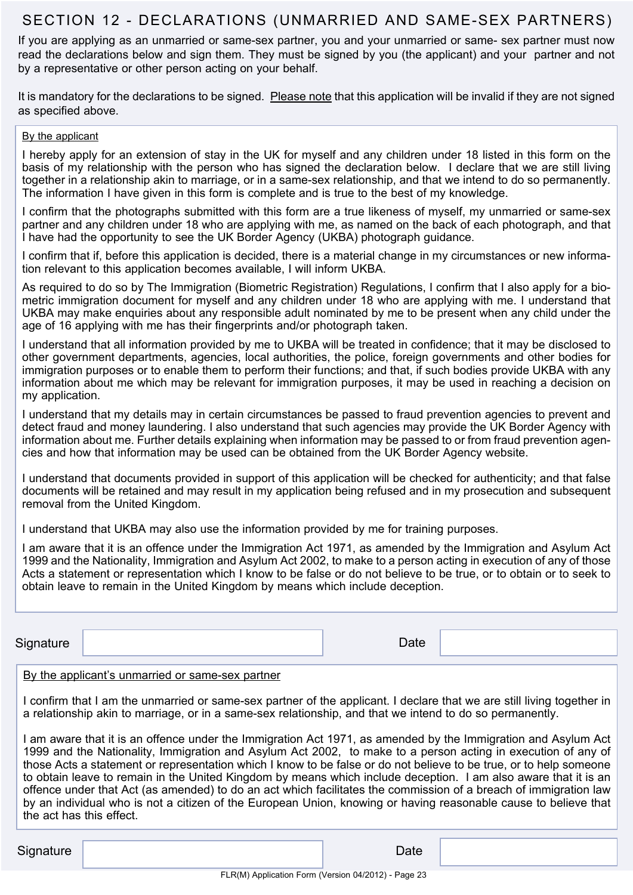## SECTION 12 - DECLARATIONS (UNMARRIED AND SAME-SEX PARTNERS)

If you are applying as an unmarried or same-sex partner, you and your unmarried or same- sex partner must now read the declarations below and sign them. They must be signed by you (the applicant) and your partner and not by a representative or other person acting on your behalf.

It is mandatory for the declarations to be signed. Please note that this application will be invalid if they are not signed as specified above.

#### By the applicant

I hereby apply for an extension of stay in the UK for myself and any children under 18 listed in this form on the basis of my relationship with the person who has signed the declaration below. I declare that we are still living together in a relationship akin to marriage, or in a same-sex relationship, and that we intend to do so permanently. The information I have given in this form is complete and is true to the best of my knowledge.

I confirm that the photographs submitted with this form are a true likeness of myself, my unmarried or same-sex partner and any children under 18 who are applying with me, as named on the back of each photograph, and that I have had the opportunity to see the UK Border Agency (UKBA) photograph guidance.

I confirm that if, before this application is decided, there is a material change in my circumstances or new information relevant to this application becomes available, I will inform UKBA.

As required to do so by The Immigration (Biometric Registration) Regulations, I confirm that I also apply for a biometric immigration document for myself and any children under 18 who are applying with me. I understand that UKBA may make enquiries about any responsible adult nominated by me to be present when any child under the age of 16 applying with me has their fingerprints and/or photograph taken.

I understand that all information provided by me to UKBA will be treated in confidence; that it may be disclosed to other government departments, agencies, local authorities, the police, foreign governments and other bodies for immigration purposes or to enable them to perform their functions; and that, if such bodies provide UKBA with any information about me which may be relevant for immigration purposes, it may be used in reaching a decision on my application.

I understand that my details may in certain circumstances be passed to fraud prevention agencies to prevent and detect fraud and money laundering. I also understand that such agencies may provide the UK Border Agency with information about me. Further details explaining when information may be passed to or from fraud prevention agencies and how that information may be used can be obtained from the UK Border Agency website.

I understand that documents provided in support of this application will be checked for authenticity; and that false documents will be retained and may result in my application being refused and in my prosecution and subsequent removal from the United Kingdom.

I understand that UKBA may also use the information provided by me for training purposes.

I am aware that it is an offence under the Immigration Act 1971, as amended by the Immigration and Asylum Act 1999 and the Nationality, Immigration and Asylum Act 2002, to make to a person acting in execution of any of those Acts a statement or representation which I know to be false or do not believe to be true, or to obtain or to seek to obtain leave to remain in the United Kingdom by means which include deception.

| Signature | Date |  |
|-----------|------|--|

#### By the applicant's unmarried or same-sex partner

I confirm that I am the unmarried or same-sex partner of the applicant. I declare that we are still living together in a relationship akin to marriage, or in a same-sex relationship, and that we intend to do so permanently.

I am aware that it is an offence under the Immigration Act 1971, as amended by the Immigration and Asylum Act 1999 and the Nationality, Immigration and Asylum Act 2002, to make to a person acting in execution of any of those Acts a statement or representation which I know to be false or do not believe to be true, or to help someone to obtain leave to remain in the United Kingdom by means which include deception. I am also aware that it is an offence under that Act (as amended) to do an act which facilitates the commission of a breach of immigration law by an individual who is not a citizen of the European Union, knowing or having reasonable cause to believe that the act has this effect.

| Signature | Date |
|-----------|------|
|-----------|------|